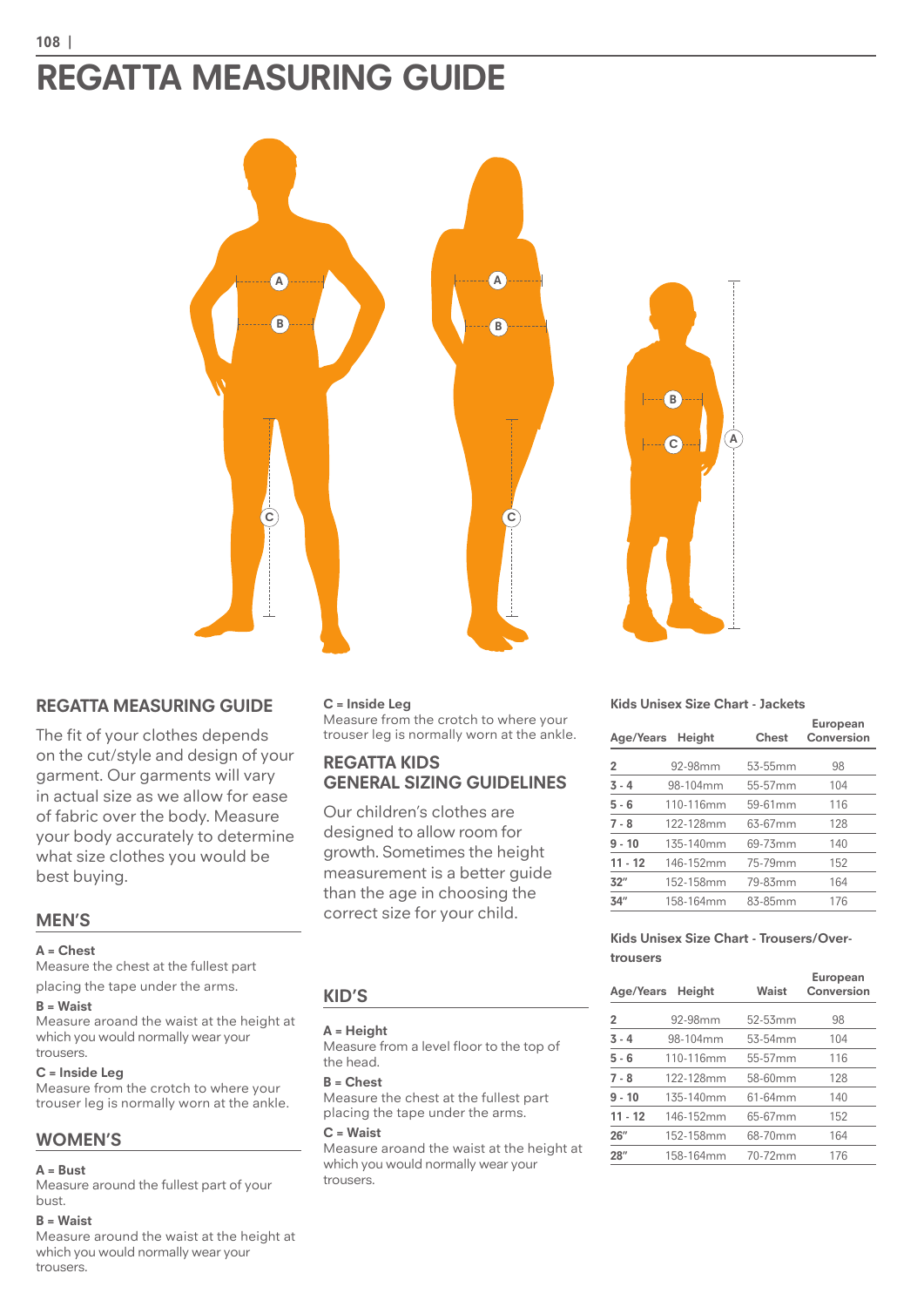# **REGATTA MEASURING GUIDE**



# **REGATTA MEASURING GUIDE**

The fit of your clothes depends on the cut/style and design of your garment. Our garments will vary in actual size as we allow for ease of fabric over the body. Measure your body accurately to determine what size clothes you would be best buying.

## **MEN'S**

#### **A = Chest**

Measure the chest at the fullest part placing the tape under the arms.

#### **B = Waist**

Measure aroand the waist at the height at which you would normally wear your trousers.

#### **C = Inside Leg**

Measure from the crotch to where your trouser leg is normally worn at the ankle.

## **WOMEN'S**

#### **A = Bust**

Measure around the fullest part of your bust.

#### **B = Waist**

Measure around the waist at the height at which you would normally wear your trousers.

#### **C = Inside Leg**

Measure from the crotch to where your trouser leg is normally worn at the ankle.

## **REGATTA KIDS GENERAL SIZING GUIDELINES**

Our children's clothes are designed to allow room for growth. Sometimes the height measurement is a better guide than the age in choosing the correct size for your child.

#### **Kids Unisex Size Chart - Jackets**

|                | Age/Years Height | Chest   | European<br>Conversion |  |  |  |  |
|----------------|------------------|---------|------------------------|--|--|--|--|
| $\overline{2}$ | 92-98mm          | 53-55mm | 98                     |  |  |  |  |
| $3 - 4$        | 98-104mm         | 55-57mm | 104                    |  |  |  |  |
| $5 - 6$        | 110-116mm        | 59-61mm | 116                    |  |  |  |  |
| $7 - 8$        | 122-128mm        | 63-67mm | 128                    |  |  |  |  |
| $9 - 10$       | 135-140mm        | 69-73mm | 140                    |  |  |  |  |
| $11 - 12$      | 146-152mm        | 75-79mm | 152                    |  |  |  |  |
| 32"            | 152-158mm        | 79-83mm | 164                    |  |  |  |  |
| 34''           | 158-164mm        | 83-85mm | 176                    |  |  |  |  |
|                |                  |         |                        |  |  |  |  |

#### **Kids Unisex Size Chart - Trousers/Overtrousers**

|           | Age/Years Height | Waist   | European<br>Conversion |  |  |  |  |
|-----------|------------------|---------|------------------------|--|--|--|--|
| 2         | 92-98mm          | 52-53mm | 98                     |  |  |  |  |
| $3 - 4$   | 98-104mm         | 53-54mm | 104                    |  |  |  |  |
| $5 - 6$   | 110-116mm        | 55-57mm | 116                    |  |  |  |  |
| $7 - 8$   | 122-128mm        | 58-60mm | 128                    |  |  |  |  |
| $9 - 10$  | 135-140mm        | 61-64mm | 140                    |  |  |  |  |
| $11 - 12$ | 146-152mm        | 65-67mm | 152                    |  |  |  |  |
| 26''      | 152-158mm        | 68-70mm | 164                    |  |  |  |  |
| 28''      | 158-164mm        | 70-72mm | 176                    |  |  |  |  |

#### **KID'S**

**A = Height** Measure from a level floor to the top of the head.

#### **B = Chest**

Measure the chest at the fullest part placing the tape under the arms.

#### **C = Waist**

Measure aroand the waist at the height at which you would normally wear your trousers.